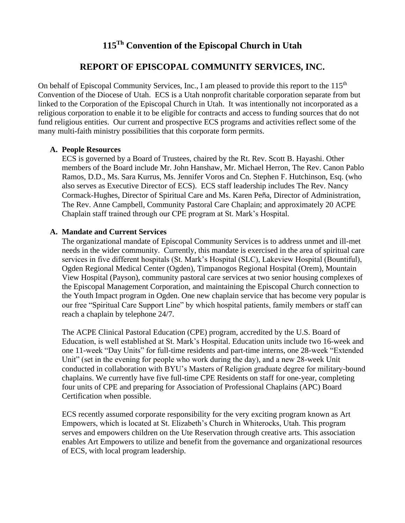# **115 Th Convention of the Episcopal Church in Utah**

## **REPORT OF EPISCOPAL COMMUNITY SERVICES, INC.**

On behalf of Episcopal Community Services, Inc., I am pleased to provide this report to the 115<sup>th</sup> Convention of the Diocese of Utah. ECS is a Utah nonprofit charitable corporation separate from but linked to the Corporation of the Episcopal Church in Utah. It was intentionally not incorporated as a religious corporation to enable it to be eligible for contracts and access to funding sources that do not fund religious entities. Our current and prospective ECS programs and activities reflect some of the many multi-faith ministry possibilities that this corporate form permits.

#### **A. People Resources**

ECS is governed by a Board of Trustees, chaired by the Rt. Rev. Scott B. Hayashi. Other members of the Board include Mr. John Hanshaw, Mr. Michael Herron, The Rev. Canon Pablo Ramos, D.D., Ms. Sara Kurrus, Ms. Jennifer Voros and Cn. Stephen F. Hutchinson, Esq. (who also serves as Executive Director of ECS). ECS staff leadership includes The Rev. Nancy Cormack-Hughes, Director of Spiritual Care and Ms. Karen Peña, Director of Administration, The Rev. Anne Campbell, Community Pastoral Care Chaplain; and approximately 20 ACPE Chaplain staff trained through our CPE program at St. Mark's Hospital.

#### **A. Mandate and Current Services**

The organizational mandate of Episcopal Community Services is to address unmet and ill-met needs in the wider community. Currently, this mandate is exercised in the area of spiritual care services in five different hospitals (St. Mark's Hospital (SLC), Lakeview Hospital (Bountiful), Ogden Regional Medical Center (Ogden), Timpanogos Regional Hospital (Orem), Mountain View Hospital (Payson), community pastoral care services at two senior housing complexes of the Episcopal Management Corporation, and maintaining the Episcopal Church connection to the Youth Impact program in Ogden. One new chaplain service that has become very popular is our free "Spiritual Care Support Line" by which hospital patients, family members or staff can reach a chaplain by telephone 24/7.

The ACPE Clinical Pastoral Education (CPE) program, accredited by the U.S. Board of Education, is well established at St. Mark's Hospital. Education units include two 16-week and one 11-week "Day Units" for full-time residents and part-time interns, one 28-week "Extended Unit" (set in the evening for people who work during the day), and a new 28-week Unit conducted in collaboration with BYU's Masters of Religion graduate degree for military-bound chaplains. We currently have five full-time CPE Residents on staff for one-year, completing four units of CPE and preparing for Association of Professional Chaplains (APC) Board Certification when possible.

ECS recently assumed corporate responsibility for the very exciting program known as Art Empowers, which is located at St. Elizabeth's Church in Whiterocks, Utah. This program serves and empowers children on the Ute Reservation through creative arts. This association enables Art Empowers to utilize and benefit from the governance and organizational resources of ECS, with local program leadership.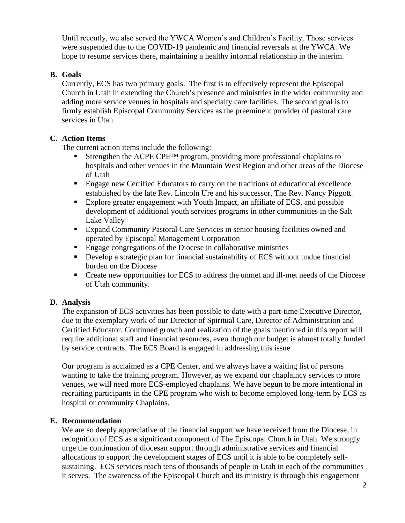Until recently, we also served the YWCA Women's and Children's Facility. Those services were suspended due to the COVID-19 pandemic and financial reversals at the YWCA. We hope to resume services there, maintaining a healthy informal relationship in the interim.

#### **B. Goals**

Currently, ECS has two primary goals. The first is to effectively represent the Episcopal Church in Utah in extending the Church's presence and ministries in the wider community and adding more service venues in hospitals and specialty care facilities. The second goal is to firmly establish Episcopal Community Services as the preeminent provider of pastoral care services in Utah.

## **C. Action Items**

The current action items include the following:

- Strengthen the ACPE CPE<sup>TM</sup> program, providing more professional chaplains to hospitals and other venues in the Mountain West Region and other areas of the Diocese of Utah
- **Engage new Certified Educators to carry on the traditions of educational excellence** established by the late Rev. Lincoln Ure and his successor, The Rev. Nancy Piggott.
- Explore greater engagement with Youth Impact, an affiliate of ECS, and possible development of additional youth services programs in other communities in the Salt Lake Valley
- Expand Community Pastoral Care Services in senior housing facilities owned and operated by Episcopal Management Corporation
- Engage congregations of the Diocese in collaborative ministries
- **•** Develop a strategic plan for financial sustainability of ECS without undue financial burden on the Diocese
- Create new opportunities for ECS to address the unmet and ill-met needs of the Diocese of Utah community.

## **D. Analysis**

The expansion of ECS activities has been possible to date with a part-time Executive Director, due to the exemplary work of our Director of Spiritual Care, Director of Administration and Certified Educator. Continued growth and realization of the goals mentioned in this report will require additional staff and financial resources, even though our budget is almost totally funded by service contracts. The ECS Board is engaged in addressing this issue.

Our program is acclaimed as a CPE Center, and we always have a waiting list of persons wanting to take the training program. However, as we expand our chaplaincy services to more venues, we will need more ECS-employed chaplains. We have begun to be more intentional in recruiting participants in the CPE program who wish to become employed long-term by ECS as hospital or community Chaplains.

## **E. Recommendation**

We are so deeply appreciative of the financial support we have received from the Diocese, in recognition of ECS as a significant component of The Episcopal Church in Utah. We strongly urge the continuation of diocesan support through administrative services and financial allocations to support the development stages of ECS until it is able to be completely selfsustaining. ECS services reach tens of thousands of people in Utah in each of the communities it serves. The awareness of the Episcopal Church and its ministry is through this engagement